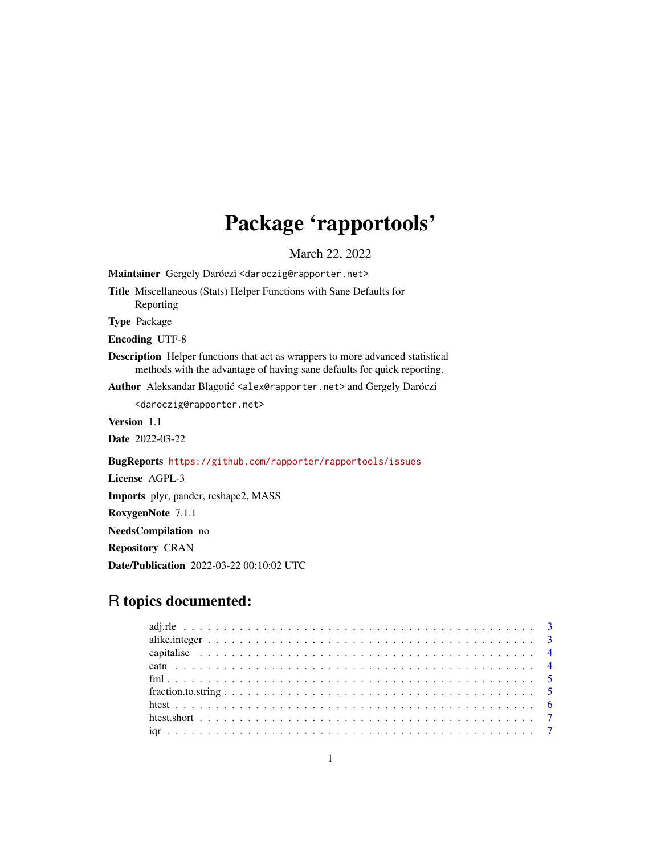## Package 'rapportools'

March 22, 2022

<span id="page-0-0"></span>Maintainer Gergely Daróczi <daroczig@rapporter.net> Title Miscellaneous (Stats) Helper Functions with Sane Defaults for Reporting Type Package Encoding UTF-8 Description Helper functions that act as wrappers to more advanced statistical methods with the advantage of having sane defaults for quick reporting. Author Aleksandar Blagotić <alex@rapporter.net> and Gergely Daróczi <daroczig@rapporter.net> Version 1.1 Date 2022-03-22 BugReports <https://github.com/rapporter/rapportools/issues> License AGPL-3 Imports plyr, pander, reshape2, MASS RoxygenNote 7.1.1 NeedsCompilation no Repository CRAN Date/Publication 2022-03-22 00:10:02 UTC

## R topics documented: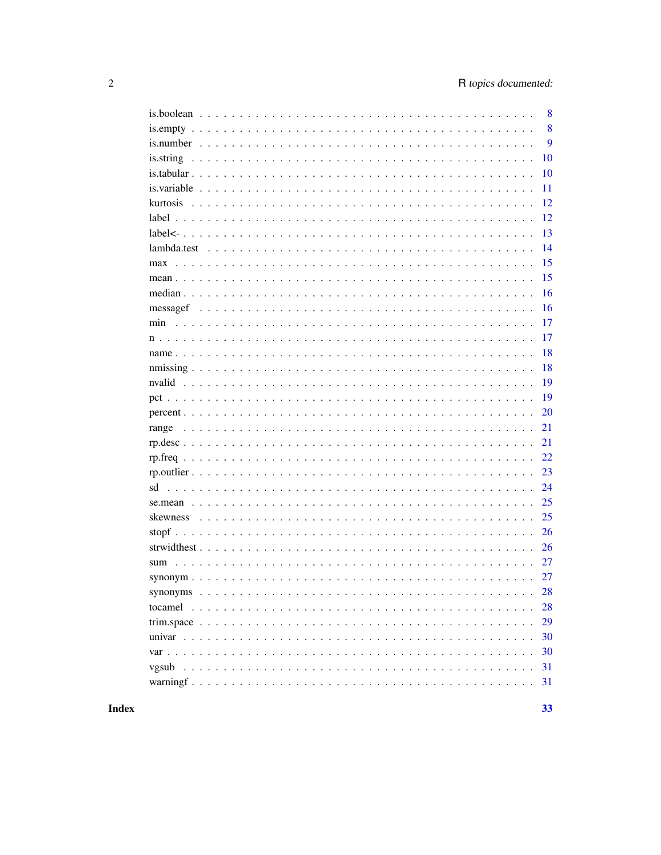|     |  | 8  |
|-----|--|----|
|     |  | 8  |
|     |  | 9  |
|     |  | 10 |
|     |  | 10 |
|     |  | 11 |
|     |  | 12 |
|     |  | 12 |
|     |  | 13 |
|     |  | 14 |
|     |  | 15 |
|     |  | 15 |
|     |  | 16 |
|     |  | 16 |
| min |  | 17 |
|     |  | 17 |
|     |  | 18 |
|     |  | 18 |
|     |  | 19 |
|     |  | 19 |
|     |  | 20 |
|     |  | 21 |
|     |  | 21 |
|     |  | 22 |
|     |  | 23 |
| sd  |  | 24 |
|     |  | 25 |
|     |  | 25 |
|     |  | 26 |
|     |  | 26 |
| sum |  | 27 |
|     |  | 27 |
|     |  | 28 |
|     |  | 28 |
|     |  | 29 |
|     |  | 30 |
|     |  | 30 |
|     |  | 31 |
|     |  | 31 |
|     |  |    |

## **Index**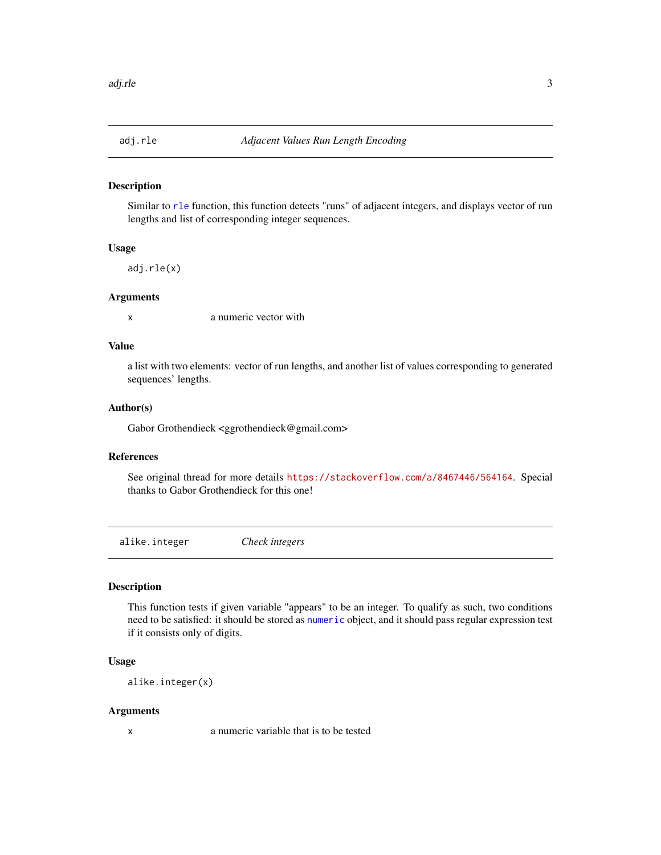<span id="page-2-0"></span>

Similar to [rle](#page-0-0) function, this function detects "runs" of adjacent integers, and displays vector of run lengths and list of corresponding integer sequences.

## Usage

adj.rle(x)

## Arguments

x a numeric vector with

## Value

a list with two elements: vector of run lengths, and another list of values corresponding to generated sequences' lengths.

#### Author(s)

Gabor Grothendieck <ggrothendieck@gmail.com>

## References

See original thread for more details <https://stackoverflow.com/a/8467446/564164>. Special thanks to Gabor Grothendieck for this one!

alike.integer *Check integers*

## Description

This function tests if given variable "appears" to be an integer. To qualify as such, two conditions need to be satisfied: it should be stored as [numeric](#page-0-0) object, and it should pass regular expression test if it consists only of digits.

#### Usage

alike.integer(x)

#### Arguments

x a numeric variable that is to be tested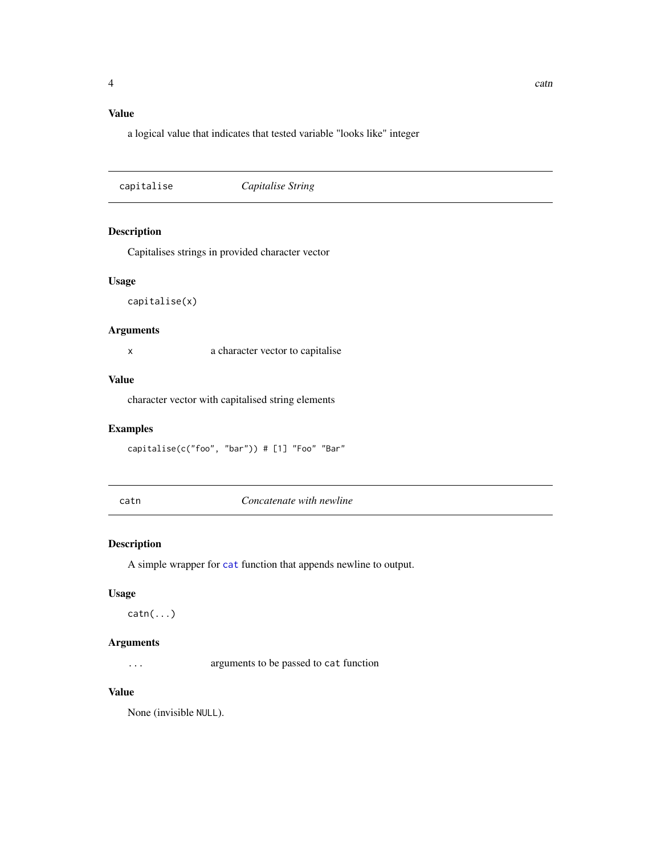## <span id="page-3-0"></span>Value

a logical value that indicates that tested variable "looks like" integer

capitalise *Capitalise String*

## Description

Capitalises strings in provided character vector

## Usage

capitalise(x)

## Arguments

x a character vector to capitalise

## Value

character vector with capitalised string elements

#### Examples

capitalise(c("foo", "bar")) # [1] "Foo" "Bar"

catn *Concatenate with newline*

## Description

A simple wrapper for [cat](#page-0-0) function that appends newline to output.

## Usage

 $\text{catn}(\ldots)$ 

## Arguments

... arguments to be passed to cat function

#### Value

None (invisible NULL).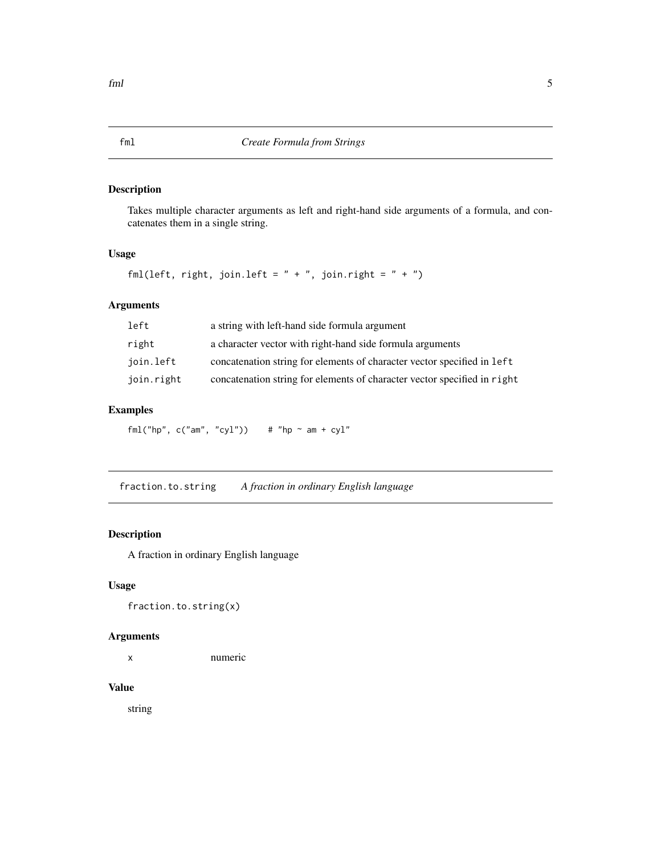Takes multiple character arguments as left and right-hand side arguments of a formula, and concatenates them in a single string.

#### Usage

```
fml(left, right, join.left = " + ", join.right = " + ")
```
## Arguments

| left       | a string with left-hand side formula argument                            |
|------------|--------------------------------------------------------------------------|
| right      | a character vector with right-hand side formula arguments                |
| join.left  | concatenation string for elements of character vector specified in left  |
| join.right | concatenation string for elements of character vector specified in right |

## Examples

fml("hp",  $c("am", "cyl")$ ) # "hp ~ am +  $cyl"$ 

fraction.to.string *A fraction in ordinary English language*

## Description

A fraction in ordinary English language

## Usage

fraction.to.string(x)

## Arguments

x numeric

## Value

string

<span id="page-4-0"></span>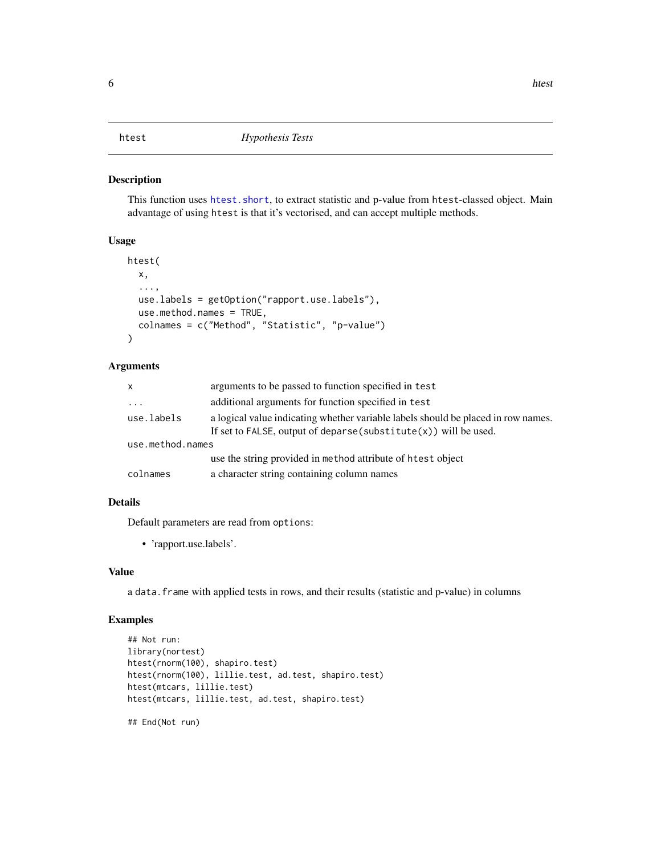<span id="page-5-0"></span>This function uses [htest.short](#page-6-1), to extract statistic and p-value from htest-classed object. Main advantage of using htest is that it's vectorised, and can accept multiple methods.

#### Usage

```
htest(
  x,
  ...,
 use.labels = getOption("rapport.use.labels"),
  use.method.names = TRUE,
  colnames = c("Method", "Statistic", "p-value")
)
```
#### Arguments

| x                | arguments to be passed to function specified in test                                                                                                      |
|------------------|-----------------------------------------------------------------------------------------------------------------------------------------------------------|
| $\cdots$         | additional arguments for function specified in test                                                                                                       |
| use.labels       | a logical value indicating whether variable labels should be placed in row names.<br>If set to FALSE, output of deparse (substitute $(x)$ ) will be used. |
| use.method.names |                                                                                                                                                           |
|                  | use the string provided in method attribute of htest object                                                                                               |
| colnames         | a character string containing column names                                                                                                                |

#### Details

Default parameters are read from options:

• 'rapport.use.labels'.

#### Value

a data.frame with applied tests in rows, and their results (statistic and p-value) in columns

```
## Not run:
library(nortest)
htest(rnorm(100), shapiro.test)
htest(rnorm(100), lillie.test, ad.test, shapiro.test)
htest(mtcars, lillie.test)
htest(mtcars, lillie.test, ad.test, shapiro.test)
```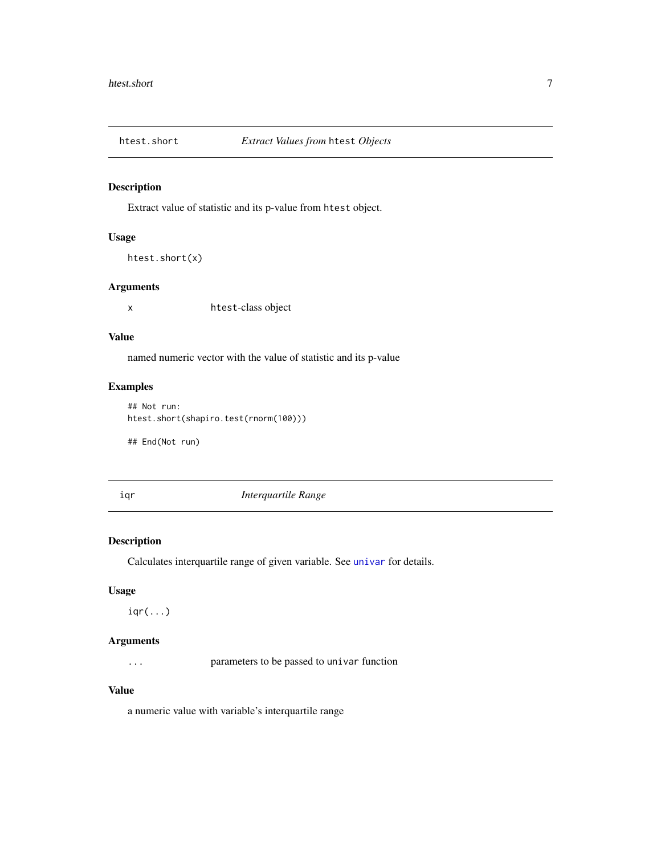<span id="page-6-1"></span><span id="page-6-0"></span>

Extract value of statistic and its p-value from htest object.

## Usage

```
htest.short(x)
```
#### Arguments

x htest-class object

#### Value

named numeric vector with the value of statistic and its p-value

## Examples

```
## Not run:
htest.short(shapiro.test(rnorm(100)))
```
## End(Not run)

#### iqr *Interquartile Range*

## Description

Calculates interquartile range of given variable. See [univar](#page-29-1) for details.

#### Usage

 $iqr(...)$ 

## Arguments

... parameters to be passed to univar function

## Value

a numeric value with variable's interquartile range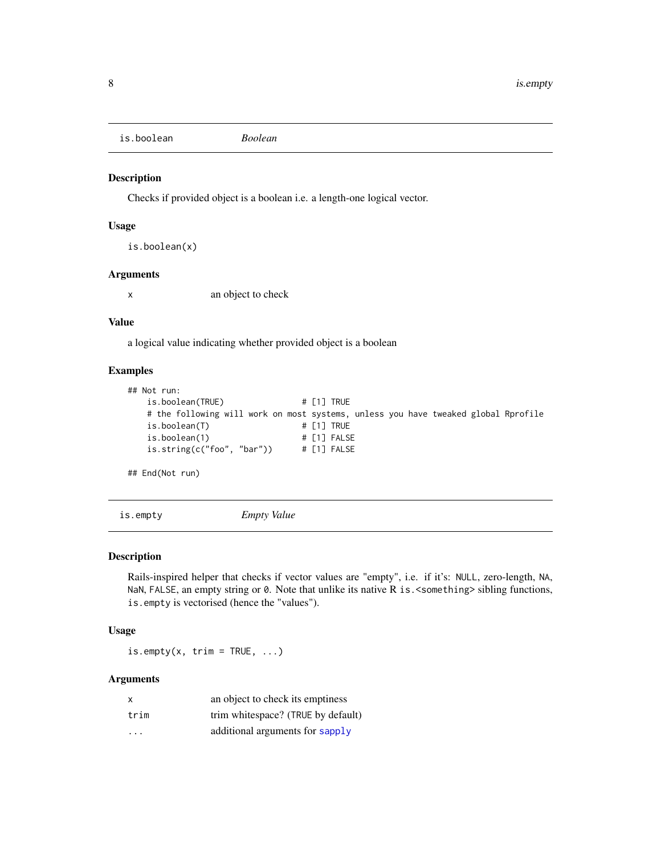<span id="page-7-0"></span>is.boolean *Boolean*

## Description

Checks if provided object is a boolean i.e. a length-one logical vector.

## Usage

```
is.boolean(x)
```
## Arguments

x an object to check

#### Value

a logical value indicating whether provided object is a boolean

#### Examples

```
## Not run:
   is.boolean(TRUE) # [1] TRUE
   # the following will work on most systems, unless you have tweaked global Rprofile
   is.boolean(T) \qquad \qquad \qquad # [1] TRUEis.boolean(1) # [1] FALSE
   is.string(c("foo", "bar")) # [1] FALSE
## End(Not run)
```
is.empty *Empty Value*

#### Description

Rails-inspired helper that checks if vector values are "empty", i.e. if it's: NULL, zero-length, NA, NaN, FALSE, an empty string or  $\theta$ . Note that unlike its native R is. <something> sibling functions, is.empty is vectorised (hence the "values").

#### Usage

is.empty(x,  $trim = TRUE, ...$ )

## Arguments

| $\times$                | an object to check its emptiness   |
|-------------------------|------------------------------------|
| trim                    | trim whitespace? (TRUE by default) |
| $\cdot$ $\cdot$ $\cdot$ | additional arguments for sapply    |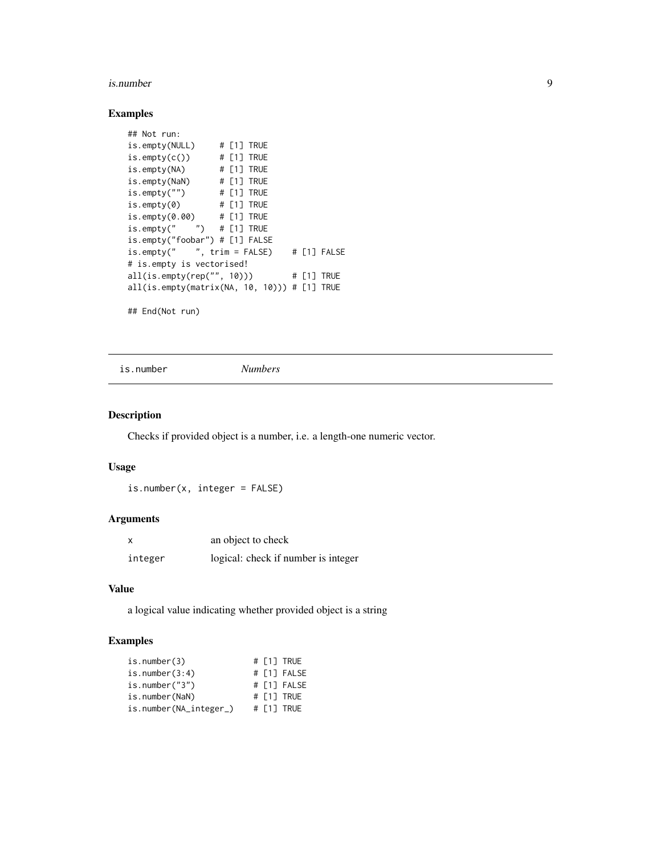#### <span id="page-8-0"></span>is.number 9

## Examples

```
## Not run:
is.empty(NULL) # [1] TRUE
is.empty(c()) # [1] TRUE
is.empty(NA) # [1] TRUE
is.empty(NaN) # [1] TRUE
is.empty("") # [1] TRUE
is.empty(0) # [1] TRUE
is.empty(0.00) # [1] TRUE
is.empty(" " ) # [1] TRUEis.empty("foobar") # [1] FALSE
is.empty(" " , trim = FALSE)  # [1] FALSE# is.empty is vectorised!
all(is.empty(rep("", 10))) # [1] TRUE
all(is.empty(matrix(NA, 10, 10))) # [1] TRUE
```
## End(Not run)

is.number *Numbers*

## Description

Checks if provided object is a number, i.e. a length-one numeric vector.

#### Usage

is.number(x, integer = FALSE)

#### Arguments

|         | an object to check                  |
|---------|-------------------------------------|
| integer | logical: check if number is integer |

#### Value

a logical value indicating whether provided object is a string

| $is_number(3)$         |  | # [1] TRUE  |
|------------------------|--|-------------|
| is.number $(3:4)$      |  | # [1] FALSE |
| is.number $('3")$      |  | # [1] FALSE |
| is.number(NaN)         |  | # [1] TRUE  |
| is.number(NA_integer_) |  | # [1] TRUE  |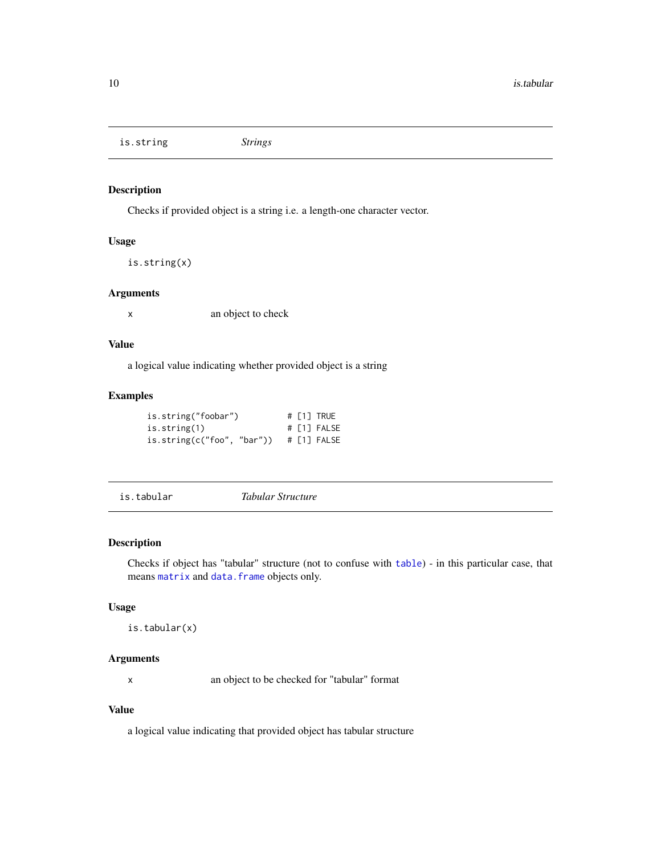<span id="page-9-0"></span>is.string *Strings*

## Description

Checks if provided object is a string i.e. a length-one character vector.

## Usage

is.string(x)

#### Arguments

x an object to check

## Value

a logical value indicating whether provided object is a string

## Examples

| is.string("foobar")        |  | # [1] TRUE  |
|----------------------------|--|-------------|
| is.string(1)               |  | # [1] FALSE |
| is.string(c("foo", "bar")) |  | # [1] FALSE |

is.tabular *Tabular Structure*

#### Description

Checks if object has "tabular" structure (not to confuse with [table](#page-0-0)) - in this particular case, that means [matrix](#page-0-0) and [data.frame](#page-0-0) objects only.

## Usage

is.tabular(x)

## Arguments

x an object to be checked for "tabular" format

## Value

a logical value indicating that provided object has tabular structure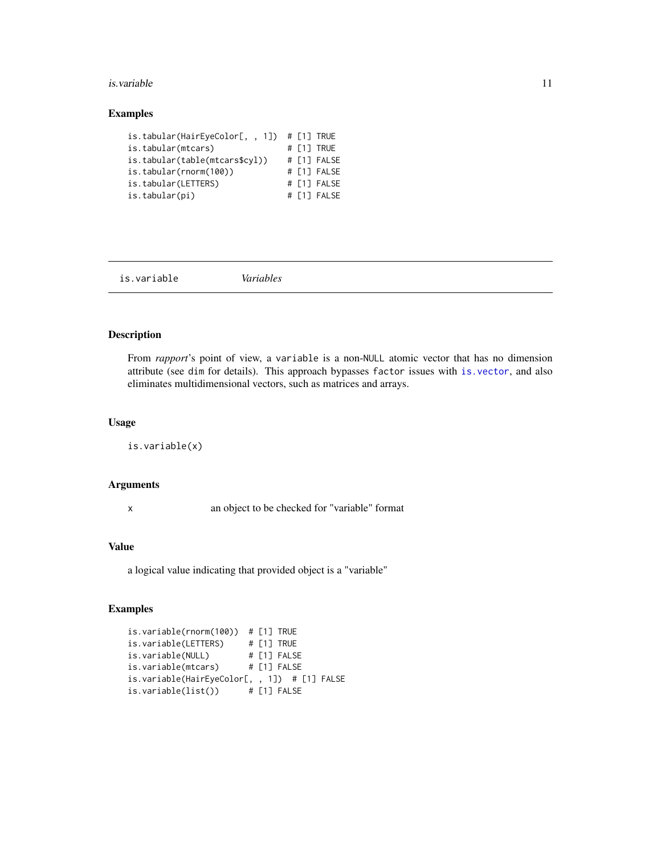#### <span id="page-10-0"></span>is.variable 11

## Examples

| is.tabular(HairEyeColor[, , 1]) $\#$ [1] TRUE |  |             |
|-----------------------------------------------|--|-------------|
| is.tabular(mtcars)                            |  | # [1] TRUE  |
| is.tabular(table(mtcars\$cyl))                |  | # [1] FALSE |
| is.tabular(rnorm(100))                        |  | # [1] FALSE |
| is.tabular(LETTERS)                           |  | # [1] FALSE |
| is.tabular(pi)                                |  | # [1] FALSE |

<span id="page-10-1"></span>is.variable *Variables*

## Description

From *rapport*'s point of view, a variable is a non-NULL atomic vector that has no dimension attribute (see dim for details). This approach bypasses factor issues with [is.vector](#page-0-0), and also eliminates multidimensional vectors, such as matrices and arrays.

## Usage

is.variable(x)

### Arguments

x an object to be checked for "variable" format

## Value

a logical value indicating that provided object is a "variable"

```
is.variable(rnorm(100)) # [1] TRUE
is.variable(LETTERS) # [1] TRUE
is.variable(NULL) # [1] FALSE
is.variable(mtcars) # [1] FALSE
is.variable(HairEyeColor[, , 1]) # [1] FALSE
is.variable(list()) # [1] FALSE
```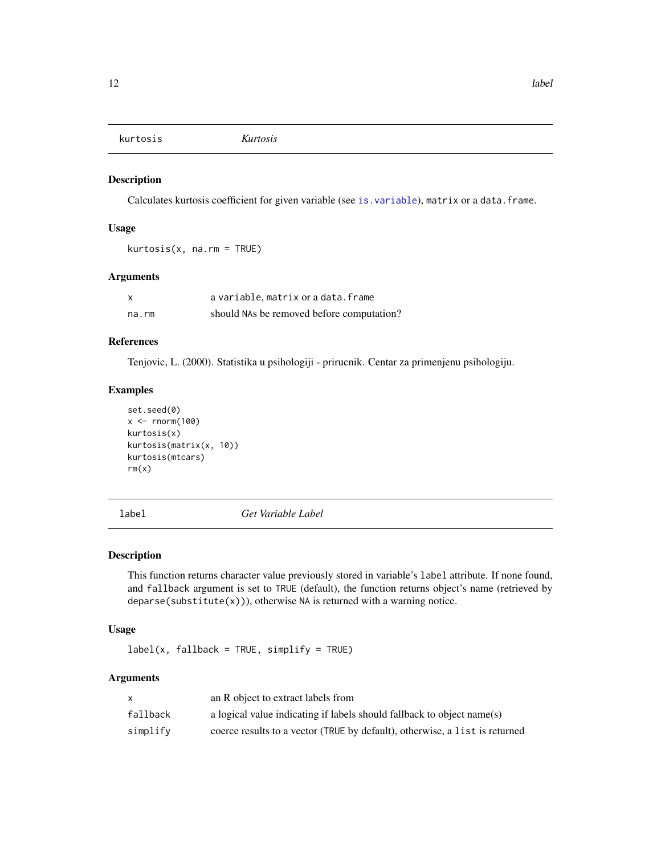<span id="page-11-0"></span>kurtosis *Kurtosis*

## Description

Calculates kurtosis coefficient for given variable (see [is.variable](#page-10-1)), matrix or a data.frame.

## Usage

kurtosis(x, na.rm = TRUE)

#### Arguments

| X     | a variable, matrix or a data. frame       |
|-------|-------------------------------------------|
| na.rm | should NAs be removed before computation? |

## References

Tenjovic, L. (2000). Statistika u psihologiji - prirucnik. Centar za primenjenu psihologiju.

#### Examples

```
set.seed(0)
x < - rnorm(100)
kurtosis(x)
kurtosis(matrix(x, 10))
kurtosis(mtcars)
rm(x)
```
label *Get Variable Label*

#### Description

This function returns character value previously stored in variable's label attribute. If none found, and fallback argument is set to TRUE (default), the function returns object's name (retrieved by deparse(substitute(x))), otherwise NA is returned with a warning notice.

## Usage

 $label(x, fallback = TRUE, simplify = TRUE)$ 

## Arguments

|          | an R object to extract labels from                                          |
|----------|-----------------------------------------------------------------------------|
| fallback | a logical value indicating if labels should fallback to object $name(s)$    |
| simplify | coerce results to a vector (TRUE by default), otherwise, a list is returned |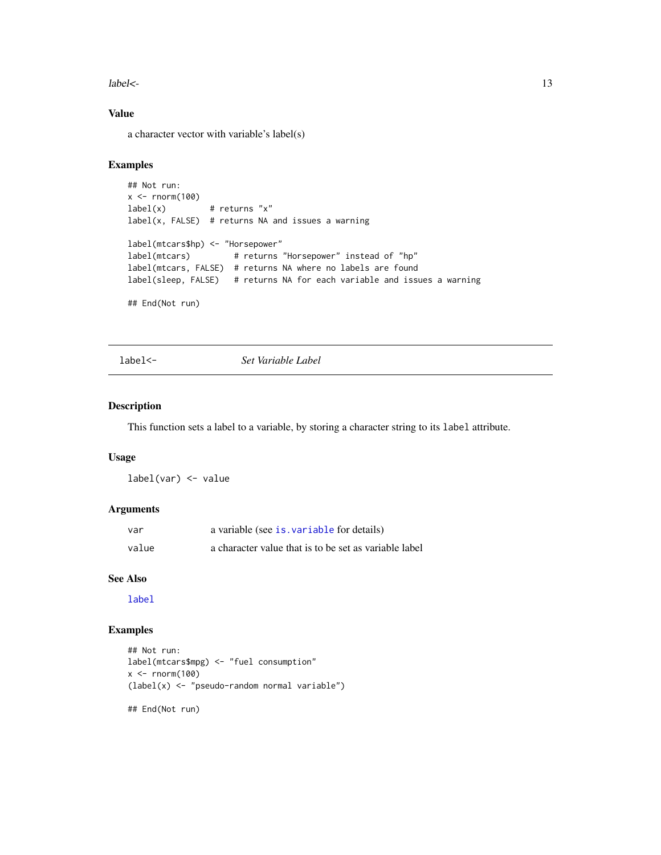<span id="page-12-0"></span> $labeled <$ - $\qquad \qquad$  13

## Value

a character vector with variable's label(s)

#### Examples

```
## Not run:
x < - rnorm(100)
label(x) # returns "x"
label(x, FALSE) # returns NA and issues a warning
label(mtcars$hp) <- "Horsepower"
label(mtcars) # returns "Horsepower" instead of "hp"
label(mtcars, FALSE) # returns NA where no labels are found
label(sleep, FALSE) # returns NA for each variable and issues a warning
## End(Not run)
```
label<- *Set Variable Label*

## Description

This function sets a label to a variable, by storing a character string to its label attribute.

## Usage

label(var) <- value

#### Arguments

| var   | a variable (see is variable for details)              |
|-------|-------------------------------------------------------|
| value | a character value that is to be set as variable label |

#### See Also

[label](#page-11-1)

```
## Not run:
label(mtcars$mpg) <- "fuel consumption"
x < - rnorm(100)
(label(x) <- "pseudo-random normal variable")
## End(Not run)
```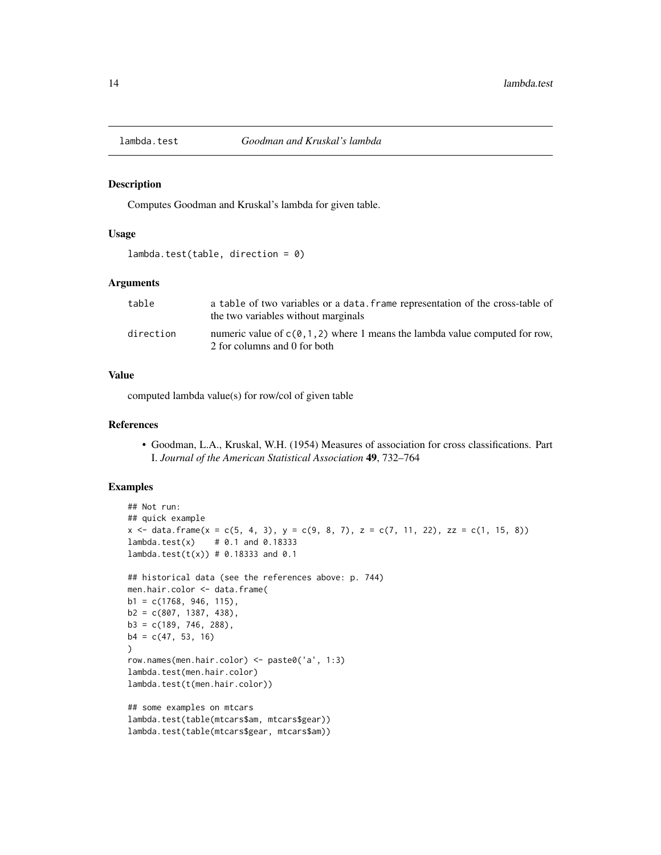<span id="page-13-0"></span>

Computes Goodman and Kruskal's lambda for given table.

#### Usage

```
lambda.test(table, direction = 0)
```
#### Arguments

| table     | a table of two variables or a data. Frame representation of the cross-table of<br>the two variables without marginals |
|-----------|-----------------------------------------------------------------------------------------------------------------------|
| direction | numeric value of $c(0, 1, 2)$ where 1 means the lambda value computed for row.<br>2 for columns and 0 for both        |

## Value

computed lambda value(s) for row/col of given table

#### References

• Goodman, L.A., Kruskal, W.H. (1954) Measures of association for cross classifications. Part I. *Journal of the American Statistical Association* 49, 732–764

```
## Not run:
## quick example
x \leq data.frame(x = c(5, 4, 3), y = c(9, 8, 7), z = c(7, 11, 22), zz = c(1, 15, 8))
lambda. test(x) # 0.1 and 0.18333
lambda.test(t(x)) # 0.18333 and 0.1## historical data (see the references above: p. 744)
men.hair.color <- data.frame(
b1 = c(1768, 946, 115),
b2 = c(807, 1387, 438),
b3 = c(189, 746, 288),b4 = c(47, 53, 16))
row.names(men.hair.color) <- paste0('a', 1:3)
lambda.test(men.hair.color)
lambda.test(t(men.hair.color))
## some examples on mtcars
lambda.test(table(mtcars$am, mtcars$gear))
lambda.test(table(mtcars$gear, mtcars$am))
```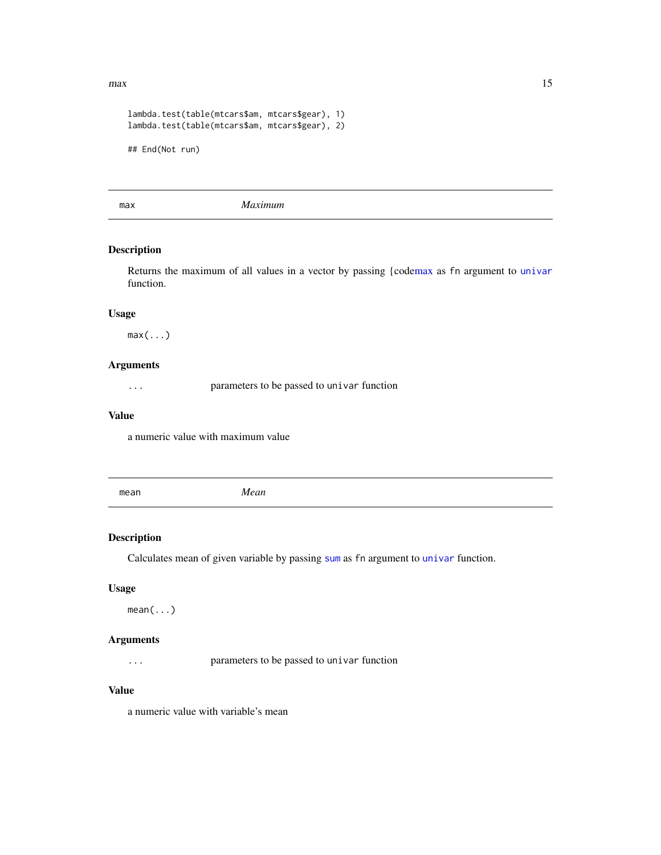#### <span id="page-14-0"></span> $max$  15

```
lambda.test(table(mtcars$am, mtcars$gear), 1)
lambda.test(table(mtcars$am, mtcars$gear), 2)
## End(Not run)
```
<span id="page-14-1"></span>max *Maximum*

## Description

Returns the maximum of all values in a vector by passing {cod[emax](#page-14-1) as fn argument to [univar](#page-29-1) function.

## Usage

 $max(...)$ 

## Arguments

... parameters to be passed to univar function

#### Value

a numeric value with maximum value

mean *Mean*

## Description

Calculates mean of given variable by passing [sum](#page-26-1) as fn argument to [univar](#page-29-1) function.

#### Usage

mean(...)

## Arguments

... parameters to be passed to univar function

## Value

a numeric value with variable's mean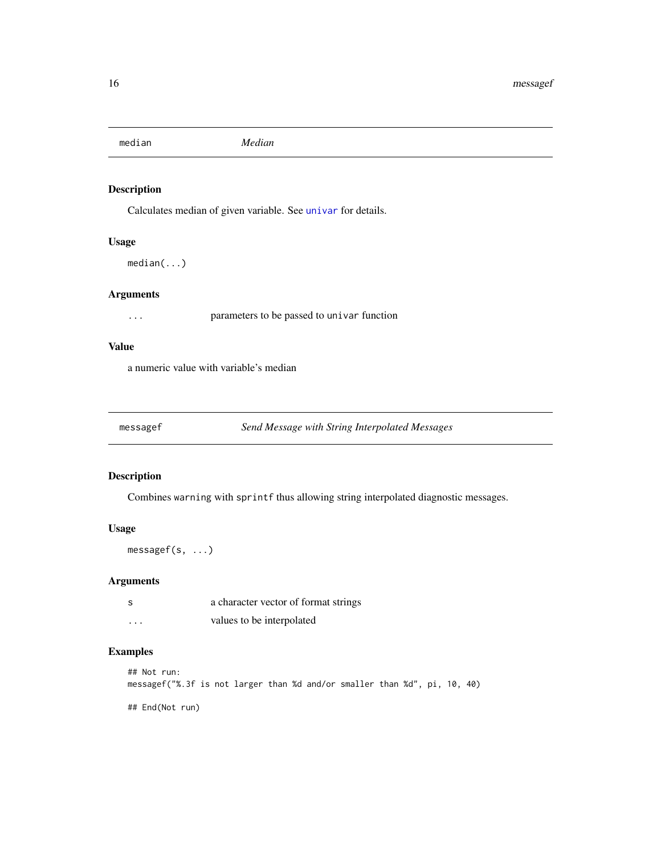<span id="page-15-0"></span>median *Median*

## Description

Calculates median of given variable. See [univar](#page-29-1) for details.

#### Usage

median(...)

## Arguments

... parameters to be passed to univar function

## Value

a numeric value with variable's median

messagef *Send Message with String Interpolated Messages*

## Description

Combines warning with sprintf thus allowing string interpolated diagnostic messages.

## Usage

messagef(s, ...)

## Arguments

| -S       | a character vector of format strings |
|----------|--------------------------------------|
| $\cdots$ | values to be interpolated            |

## Examples

## Not run: messagef("%.3f is not larger than %d and/or smaller than %d", pi, 10, 40)

## End(Not run)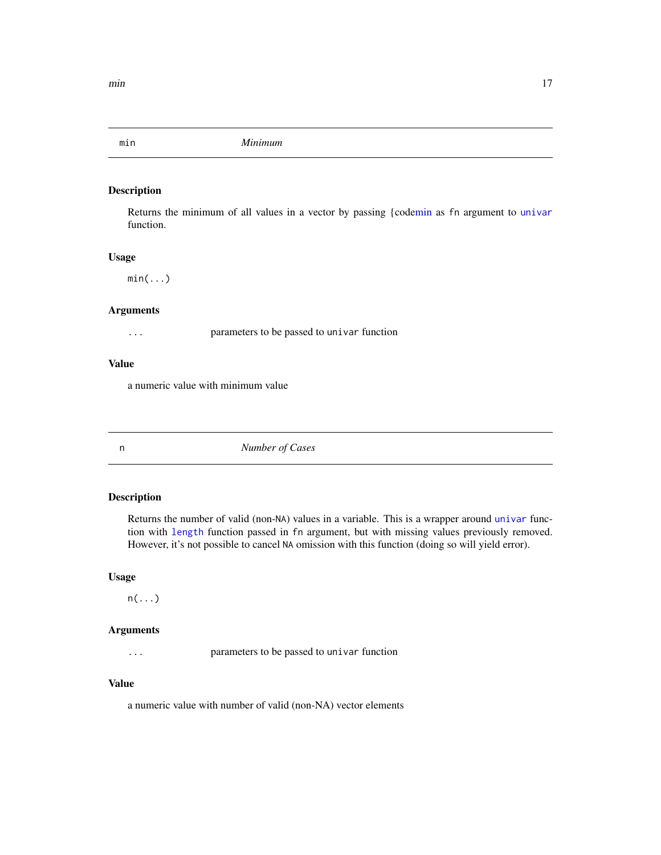<span id="page-16-1"></span><span id="page-16-0"></span>

Returns the minimum of all values in a vector by passing {cod[emin](#page-16-1) as fn argument to [univar](#page-29-1) function.

#### Usage

 $min(...)$ 

#### Arguments

... parameters to be passed to univar function

#### Value

a numeric value with minimum value

n *Number of Cases*

## Description

Returns the number of valid (non-NA) values in a variable. This is a wrapper around [univar](#page-29-1) function with [length](#page-0-0) function passed in fn argument, but with missing values previously removed. However, it's not possible to cancel NA omission with this function (doing so will yield error).

#### Usage

 $n(\ldots)$ 

## Arguments

... parameters to be passed to univar function

## Value

a numeric value with number of valid (non-NA) vector elements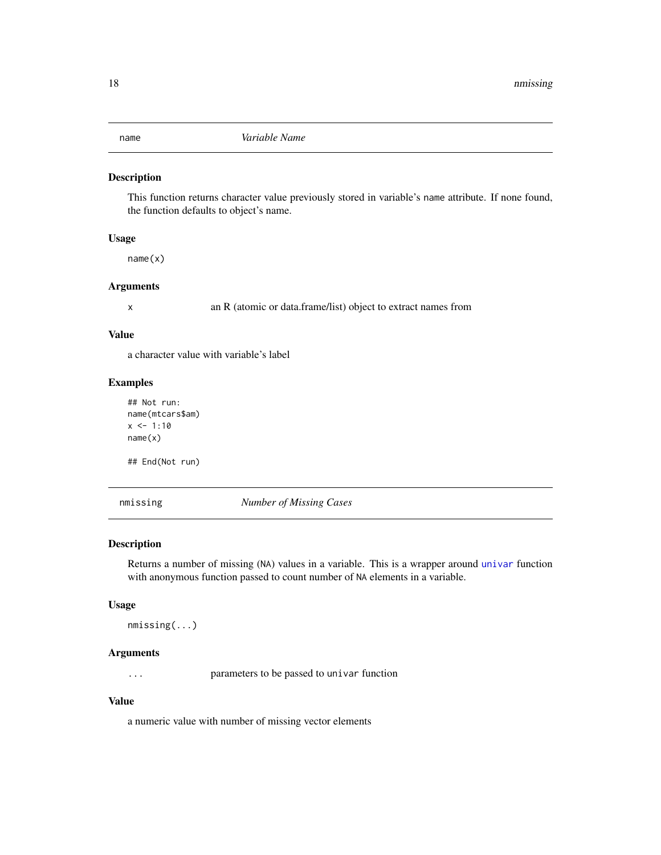<span id="page-17-0"></span>

This function returns character value previously stored in variable's name attribute. If none found, the function defaults to object's name.

## Usage

name(x)

#### Arguments

x an R (atomic or data.frame/list) object to extract names from

#### Value

a character value with variable's label

#### Examples

```
## Not run:
name(mtcars$am)
x < -1:10name(x)
```
## End(Not run)

nmissing *Number of Missing Cases*

#### Description

Returns a number of missing (NA) values in a variable. This is a wrapper around [univar](#page-29-1) function with anonymous function passed to count number of NA elements in a variable.

#### Usage

```
nmissing(...)
```
## Arguments

... parameters to be passed to univar function

#### Value

a numeric value with number of missing vector elements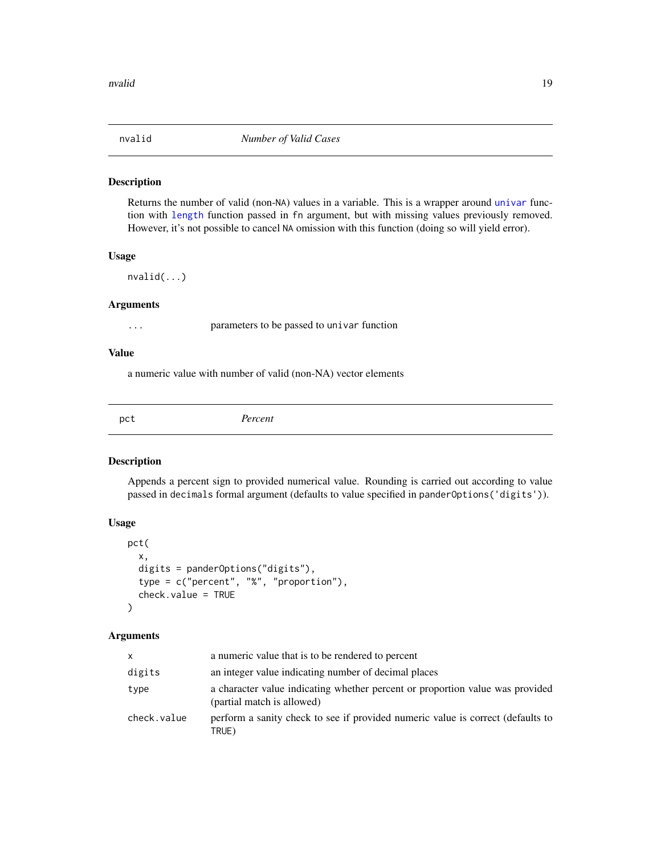<span id="page-18-0"></span>

Returns the number of valid (non-NA) values in a variable. This is a wrapper around [univar](#page-29-1) function with [length](#page-0-0) function passed in fn argument, but with missing values previously removed. However, it's not possible to cancel NA omission with this function (doing so will yield error).

#### Usage

nvalid(...)

#### Arguments

... parameters to be passed to univar function

#### Value

a numeric value with number of valid (non-NA) vector elements

<span id="page-18-1"></span>pct *Percent*

#### Description

Appends a percent sign to provided numerical value. Rounding is carried out according to value passed in decimals formal argument (defaults to value specified in panderOptions('digits')).

## Usage

```
pct(
  x,
  digits = panderOptions("digits"),
  type = c("percent", "%", "proportion"),
  check.value = TRUE
)
```
#### Arguments

| <b>X</b>    | a numeric value that is to be rendered to percent                                                           |
|-------------|-------------------------------------------------------------------------------------------------------------|
| digits      | an integer value indicating number of decimal places                                                        |
| type        | a character value indicating whether percent or proportion value was provided<br>(partial match is allowed) |
| check.value | perform a sanity check to see if provided numeric value is correct (defaults to<br>TRUE)                    |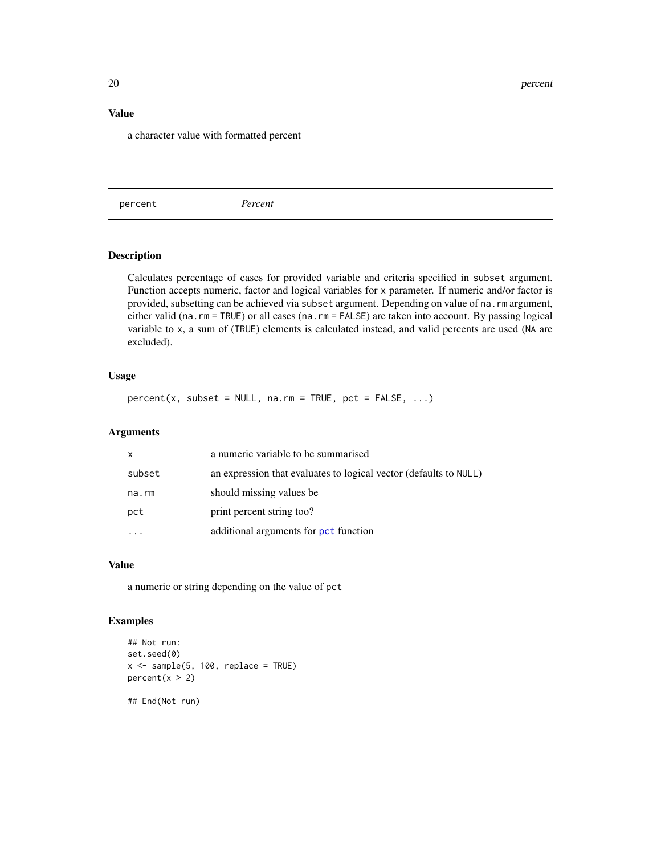#### <span id="page-19-0"></span>Value

a character value with formatted percent

percent *Percent*

## Description

Calculates percentage of cases for provided variable and criteria specified in subset argument. Function accepts numeric, factor and logical variables for x parameter. If numeric and/or factor is provided, subsetting can be achieved via subset argument. Depending on value of na.rm argument, either valid (na.rm = TRUE) or all cases (na.rm = FALSE) are taken into account. By passing logical variable to x, a sum of (TRUE) elements is calculated instead, and valid percents are used (NA are excluded).

#### Usage

 $percent(x, subset = NULL, na.rm = TRUE, pot = FALSE, ...)$ 

#### Arguments

| X      | a numeric variable to be summarised                               |
|--------|-------------------------------------------------------------------|
| subset | an expression that evaluates to logical vector (defaults to NULL) |
| na.rm  | should missing values be.                                         |
| pct    | print percent string too?                                         |
|        | additional arguments for pct function                             |

#### Value

a numeric or string depending on the value of pct

```
## Not run:
set.seed(0)
x \le - sample(5, 100, replace = TRUE)
percent(x > 2)## End(Not run)
```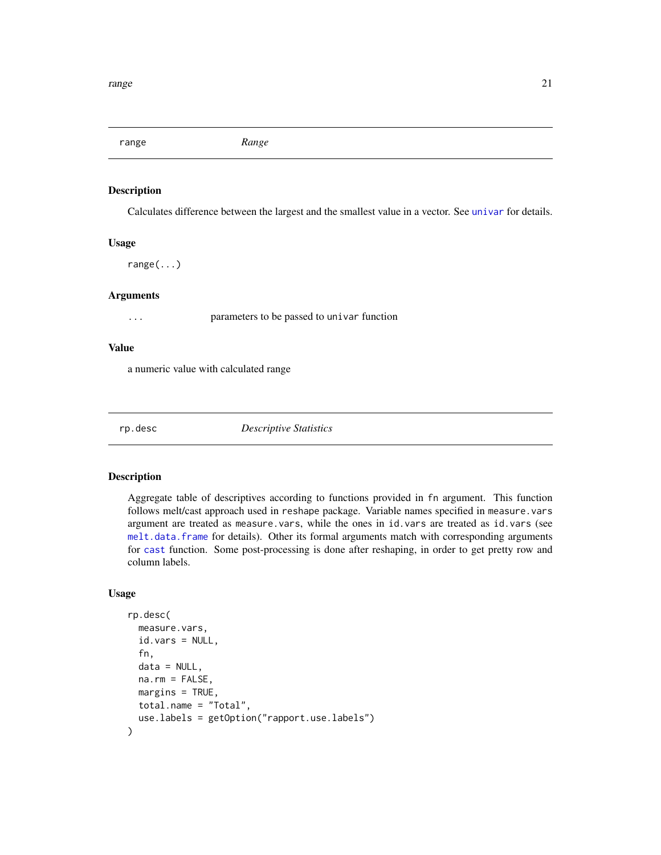<span id="page-20-0"></span>range *Range*

## Description

Calculates difference between the largest and the smallest value in a vector. See [univar](#page-29-1) for details.

## Usage

range(...)

## Arguments

... parameters to be passed to univar function

#### Value

a numeric value with calculated range

rp.desc *Descriptive Statistics*

## Description

Aggregate table of descriptives according to functions provided in fn argument. This function follows melt/cast approach used in reshape package. Variable names specified in measure.vars argument are treated as measure.vars, while the ones in id.vars are treated as id.vars (see [melt.data.frame](#page-0-0) for details). Other its formal arguments match with corresponding arguments for [cast](#page-0-0) function. Some post-processing is done after reshaping, in order to get pretty row and column labels.

## Usage

```
rp.desc(
 measure.vars,
  id.vars = NULL,
  fn,
  data = NULL,na.rm = FALSE,
 margins = TRUE,
 total.name = "Total",
  use.labels = getOption("rapport.use.labels")
)
```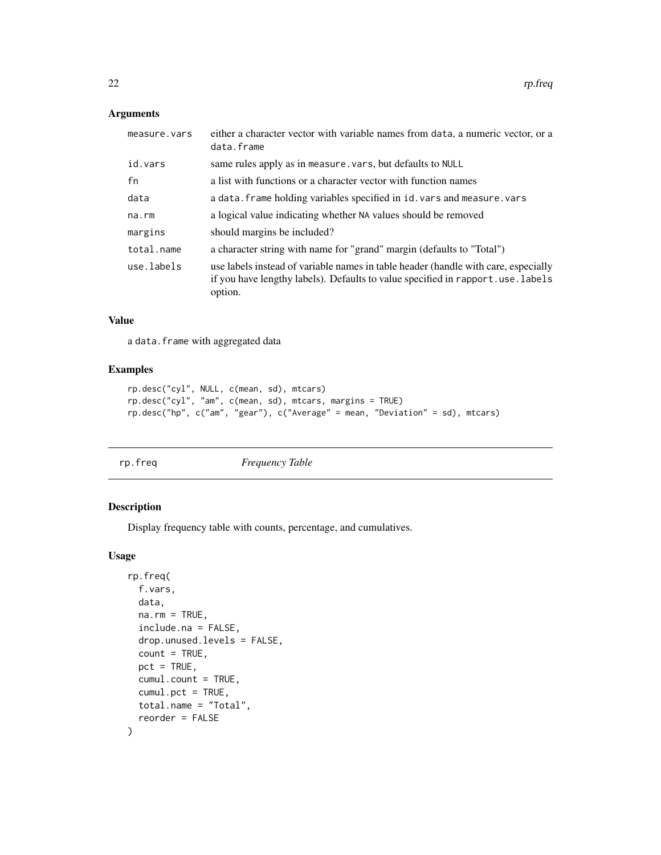## <span id="page-21-0"></span>Arguments

| measure.vars | either a character vector with variable names from data, a numeric vector, or a<br>data.frame                                                                                   |
|--------------|---------------------------------------------------------------------------------------------------------------------------------------------------------------------------------|
| id.vars      | same rules apply as in measure. vars, but defaults to NULL                                                                                                                      |
| fn           | a list with functions or a character vector with function names                                                                                                                 |
| data         | a data. frame holding variables specified in id. vars and measure. vars                                                                                                         |
| na.rm        | a logical value indicating whether NA values should be removed                                                                                                                  |
| margins      | should margins be included?                                                                                                                                                     |
| total.name   | a character string with name for "grand" margin (defaults to "Total")                                                                                                           |
| use.labels   | use labels instead of variable names in table header (handle with care, especially<br>if you have lengthy labels). Defaults to value specified in rapport.use.labels<br>option. |

## Value

a data.frame with aggregated data

#### Examples

```
rp.desc("cyl", NULL, c(mean, sd), mtcars)
rp.desc("cyl", "am", c(mean, sd), mtcars, margins = TRUE)
rp.desc("hp", c("am", "gear"), c("Average" = mean, "Deviation" = sd), mtcars)
```
rp.freq *Frequency Table*

## Description

Display frequency table with counts, percentage, and cumulatives.

## Usage

```
rp.freq(
 f.vars,
 data,
 na.rm = TRUE,include.na = FALSE,
 drop.unused.levels = FALSE,
 count = TRUE,
 pct = TRUE,
 cumul.count = TRUE,
 cumul.pct = TRUE,
 total.name = "Total",
  reorder = FALSE
)
```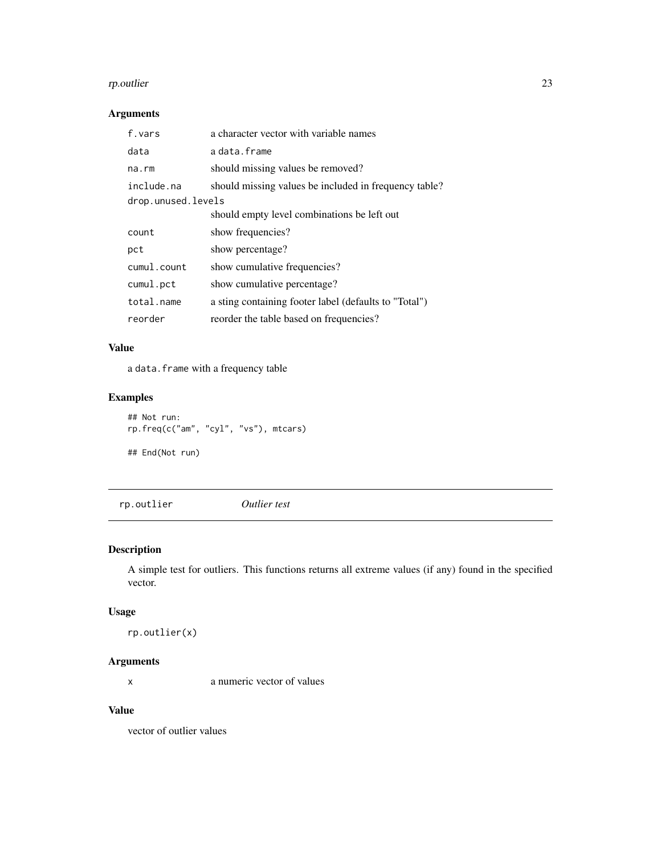#### <span id="page-22-0"></span>rp.outlier 23

## Arguments

| f.vars             | a character vector with variable names                |
|--------------------|-------------------------------------------------------|
| data               | adata.frame                                           |
| $na$ . $rm$        | should missing values be removed?                     |
| include.na         | should missing values be included in frequency table? |
| drop.unused.levels |                                                       |
|                    | should empty level combinations be left out           |
| count              | show frequencies?                                     |
| pct                | show percentage?                                      |
| cumul.count        | show cumulative frequencies?                          |
| cumul.pct          | show cumulative percentage?                           |
| total.name         | a sting containing footer label (defaults to "Total") |
| reorder            | reorder the table based on frequencies?               |

#### Value

a data.frame with a frequency table

## Examples

```
## Not run:
rp.freq(c("am", "cyl", "vs"), mtcars)
## End(Not run)
```
rp.outlier *Outlier test*

## Description

A simple test for outliers. This functions returns all extreme values (if any) found in the specified vector.

## Usage

rp.outlier(x)

## Arguments

x a numeric vector of values

## Value

vector of outlier values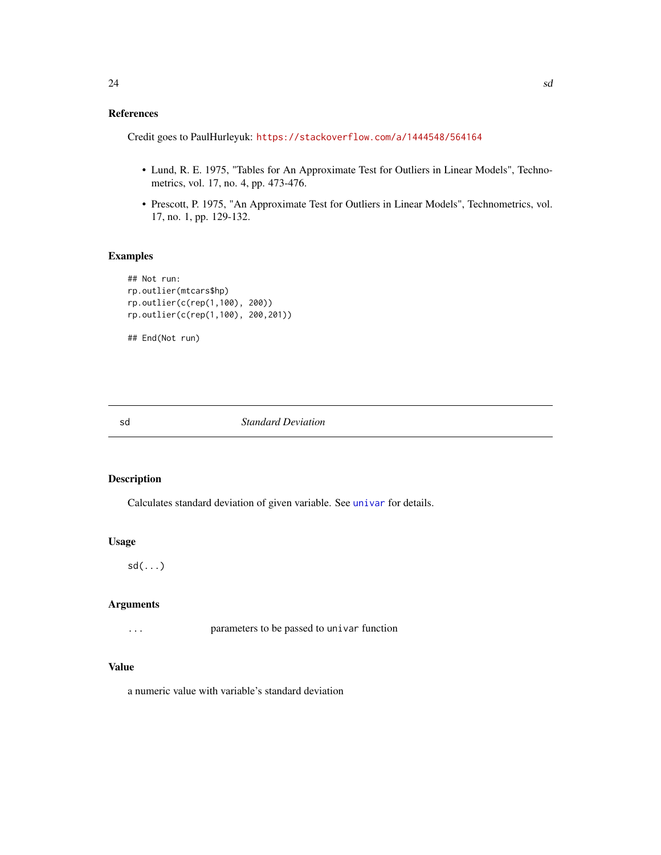## <span id="page-23-0"></span>References

Credit goes to PaulHurleyuk: <https://stackoverflow.com/a/1444548/564164>

- Lund, R. E. 1975, "Tables for An Approximate Test for Outliers in Linear Models", Technometrics, vol. 17, no. 4, pp. 473-476.
- Prescott, P. 1975, "An Approximate Test for Outliers in Linear Models", Technometrics, vol. 17, no. 1, pp. 129-132.

## Examples

```
## Not run:
rp.outlier(mtcars$hp)
rp.outlier(c(rep(1,100), 200))
rp.outlier(c(rep(1,100), 200,201))
## End(Not run)
```
#### sd *Standard Deviation*

#### Description

Calculates standard deviation of given variable. See [univar](#page-29-1) for details.

#### Usage

sd(...)

#### Arguments

... parameters to be passed to univar function

#### Value

a numeric value with variable's standard deviation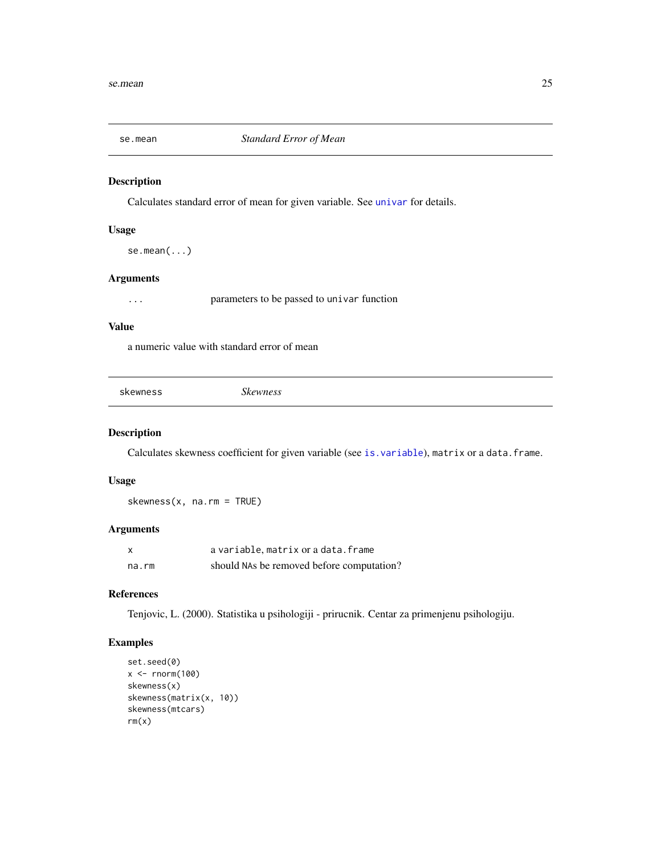<span id="page-24-0"></span>

Calculates standard error of mean for given variable. See [univar](#page-29-1) for details.

#### Usage

se.mean(...)

## Arguments

... parameters to be passed to univar function

## Value

a numeric value with standard error of mean

skewness *Skewness*

## Description

Calculates skewness coefficient for given variable (see [is.variable](#page-10-1)), matrix or a data.frame.

## Usage

skewness(x, na.rm = TRUE)

## Arguments

| $\boldsymbol{\mathsf{x}}$ | a variable, matrix or a data. frame       |
|---------------------------|-------------------------------------------|
| na.rm                     | should NAs be removed before computation? |

## References

Tenjovic, L. (2000). Statistika u psihologiji - prirucnik. Centar za primenjenu psihologiju.

```
set.seed(0)
x < - rnorm(100)
skewness(x)
skewness(matrix(x, 10))
skewness(mtcars)
rm(x)
```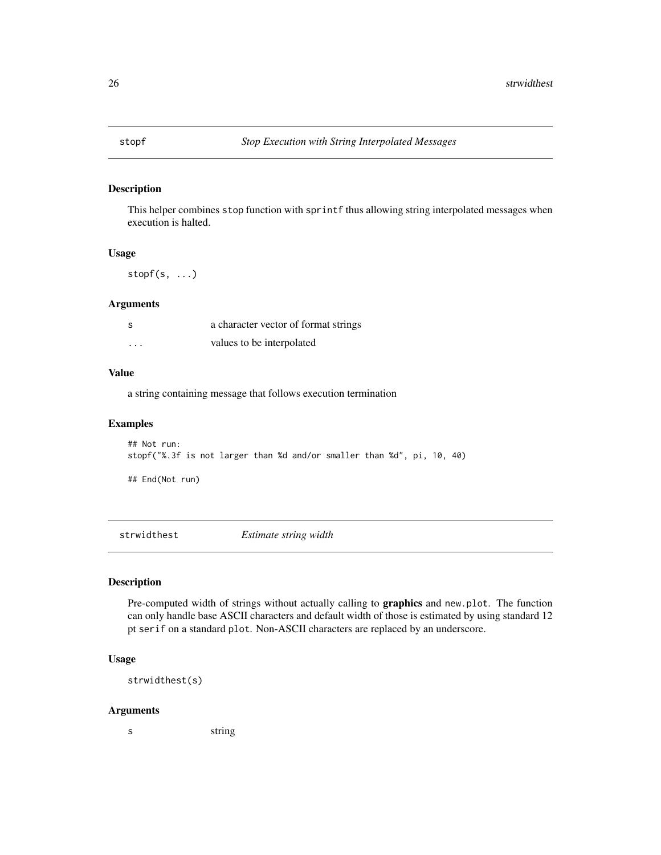<span id="page-25-0"></span>

This helper combines stop function with sprintf thus allowing string interpolated messages when execution is halted.

#### Usage

stopf $(s, \ldots)$ 

#### Arguments

| - S      | a character vector of format strings |
|----------|--------------------------------------|
| $\cdots$ | values to be interpolated            |

#### Value

a string containing message that follows execution termination

#### Examples

```
## Not run:
stopf("%.3f is not larger than %d and/or smaller than %d", pi, 10, 40)
```
## End(Not run)

strwidthest *Estimate string width*

## Description

Pre-computed width of strings without actually calling to **graphics** and new.plot. The function can only handle base ASCII characters and default width of those is estimated by using standard 12 pt serif on a standard plot. Non-ASCII characters are replaced by an underscore.

## Usage

strwidthest(s)

#### Arguments

s string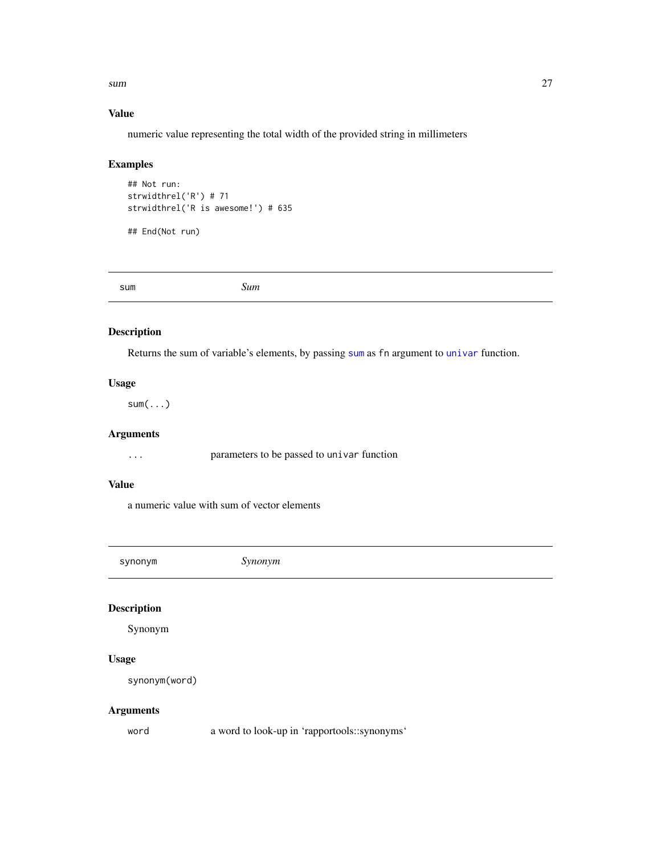<span id="page-26-0"></span> $sum$  27

## Value

numeric value representing the total width of the provided string in millimeters

## Examples

```
## Not run:
strwidthrel('R') # 71
strwidthrel('R is awesome!') # 635
```
## End(Not run)

<span id="page-26-1"></span>sum *Sum*

## Description

Returns the sum of variable's elements, by passing [sum](#page-26-1) as fn argument to [univar](#page-29-1) function.

## Usage

 $sum(....)$ 

## Arguments

... parameters to be passed to univar function

## Value

a numeric value with sum of vector elements

synonym *Synonym*

## Description

Synonym

## Usage

synonym(word)

## Arguments

word a word to look-up in 'rapportools::synonyms'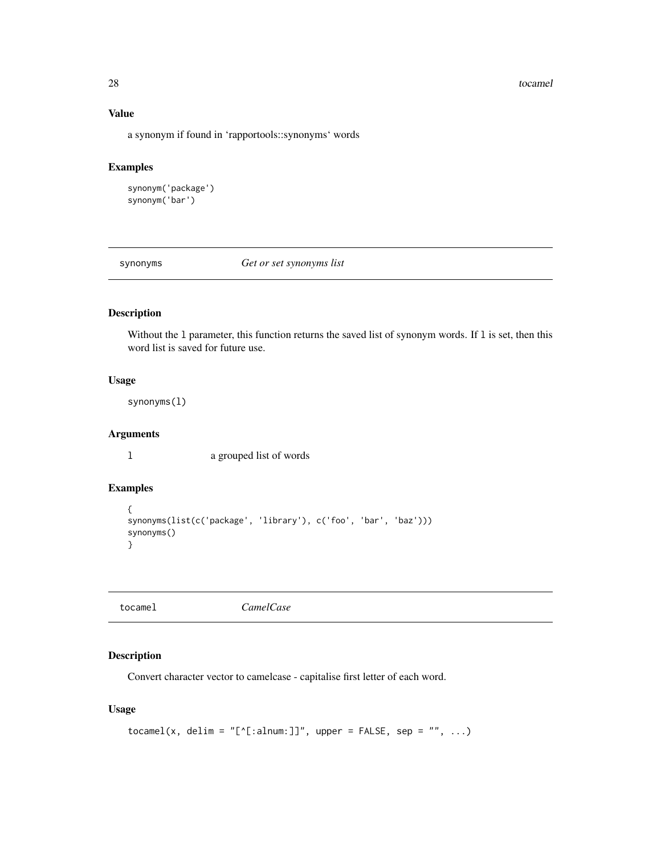#### <span id="page-27-0"></span>28 tocamel and the control of the control of the control of the control of the control of the control of the control of the control of the control of the control of the control of the control of the control of the control

## Value

a synonym if found in 'rapportools::synonyms' words

## Examples

```
synonym('package')
synonym('bar')
```
synonyms *Get or set synonyms list*

## Description

Without the l parameter, this function returns the saved list of synonym words. If l is set, then this word list is saved for future use.

## Usage

synonyms(l)

## Arguments

l a grouped list of words

## Examples

```
{
synonyms(list(c('package', 'library'), c('foo', 'bar', 'baz')))
synonyms()
}
```

| tocame1 |
|---------|
|---------|

to **CamelCase** 

#### Description

Convert character vector to camelcase - capitalise first letter of each word.

## Usage

```
tocamel(x, delim = "[^[:alnum:]]", upper = FALSE, sep = "", ...)
```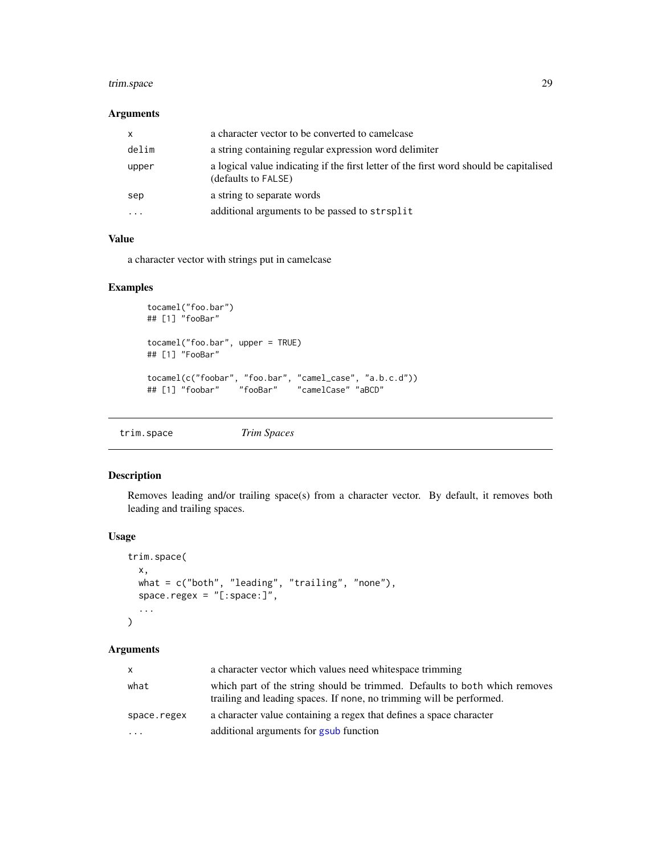## <span id="page-28-0"></span>trim.space 29

## Arguments

| X.       | a character vector to be converted to camelcase                                                               |
|----------|---------------------------------------------------------------------------------------------------------------|
| delim    | a string containing regular expression word delimiter                                                         |
| upper    | a logical value indicating if the first letter of the first word should be capitalised<br>(defaults to FALSE) |
| sep      | a string to separate words                                                                                    |
| $\ddots$ | additional arguments to be passed to strsplit                                                                 |

## Value

a character vector with strings put in camelcase

#### Examples

```
tocamel("foo.bar")
## [1] "fooBar"
tocamel("foo.bar", upper = TRUE)
## [1] "FooBar"
tocamel(c("foobar", "foo.bar", "camel_case", "a.b.c.d"))
## [1] "foobar" "fooBar" "camelCase" "aBCD"
```
trim.space *Trim Spaces*

## Description

Removes leading and/or trailing space(s) from a character vector. By default, it removes both leading and trailing spaces.

#### Usage

```
trim.space(
 x,
 what = c("both", "leading", "trailing", "none"),
 space.regex = "[:space:]",...
)
```
#### Arguments

| $\mathsf{x}$ | a character vector which values need white space trimming                                                                                          |
|--------------|----------------------------------------------------------------------------------------------------------------------------------------------------|
| what         | which part of the string should be trimmed. Defaults to both which removes<br>trailing and leading spaces. If none, no trimming will be performed. |
| space.regex  | a character value containing a regex that defines a space character                                                                                |
| $\cdots$     | additional arguments for gsub function                                                                                                             |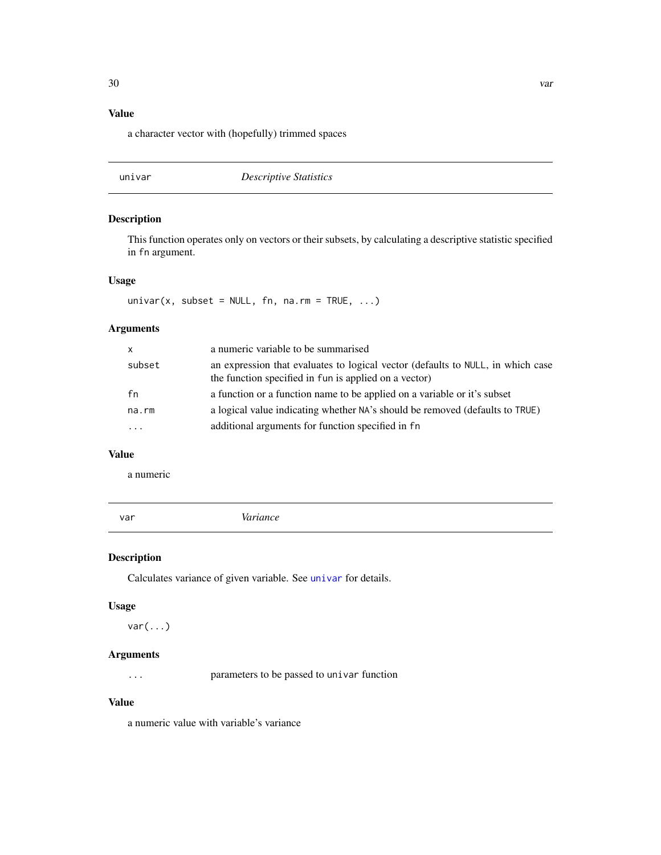## <span id="page-29-0"></span>Value

a character vector with (hopefully) trimmed spaces

## <span id="page-29-1"></span>univar *Descriptive Statistics*

## Description

This function operates only on vectors or their subsets, by calculating a descriptive statistic specified in fn argument.

## Usage

 $univar(x, subset = NULL, fn, na.rm = TRUE, ...)$ 

## Arguments

| X       | a numeric variable to be summarised                                                                                                      |
|---------|------------------------------------------------------------------------------------------------------------------------------------------|
| subset  | an expression that evaluates to logical vector (defaults to NULL, in which case<br>the function specified in fun is applied on a vector) |
| fn      | a function or a function name to be applied on a variable or it's subset                                                                 |
| na.rm   | a logical value indicating whether NA's should be removed (defaults to TRUE)                                                             |
| $\cdot$ | additional arguments for function specified in fn                                                                                        |

## Value

a numeric

|--|--|--|--|--|

## Description

Calculates variance of given variable. See [univar](#page-29-1) for details.

## Usage

 $var(...)$ 

#### Arguments

... parameters to be passed to univar function

## Value

a numeric value with variable's variance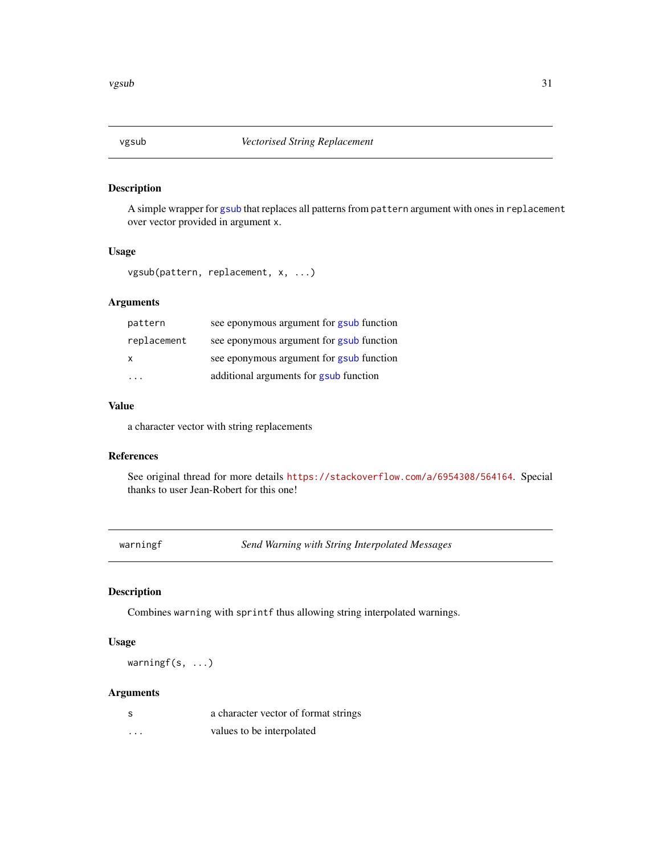<span id="page-30-0"></span>

A simple wrapper for [gsub](#page-0-0) that replaces all patterns from pattern argument with ones in replacement over vector provided in argument x.

## Usage

```
vgsub(pattern, replacement, x, ...)
```
## Arguments

| pattern     | see eponymous argument for gsub function |
|-------------|------------------------------------------|
| replacement | see eponymous argument for gsub function |
| X           | see eponymous argument for gsub function |
| .           | additional arguments for gsub function   |

## Value

a character vector with string replacements

## References

See original thread for more details <https://stackoverflow.com/a/6954308/564164>. Special thanks to user Jean-Robert for this one!

warningf *Send Warning with String Interpolated Messages*

### Description

Combines warning with sprintf thus allowing string interpolated warnings.

## Usage

warningf(s, ...)

## Arguments

| - S | a character vector of format strings |
|-----|--------------------------------------|
| .   | values to be interpolated            |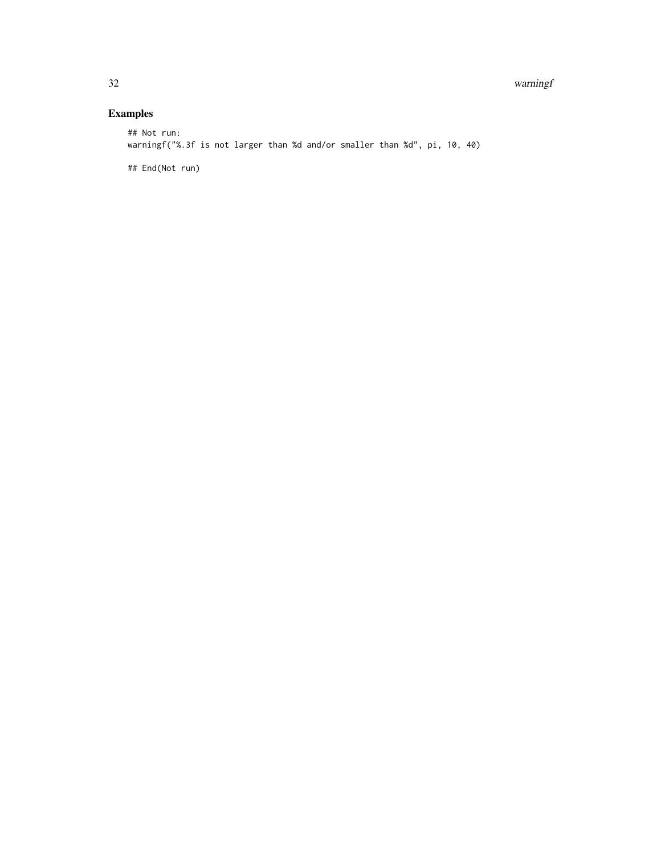#### 32 warningf

## Examples

## Not run: warningf("%.3f is not larger than %d and/or smaller than %d", pi, 10, 40)

## End(Not run)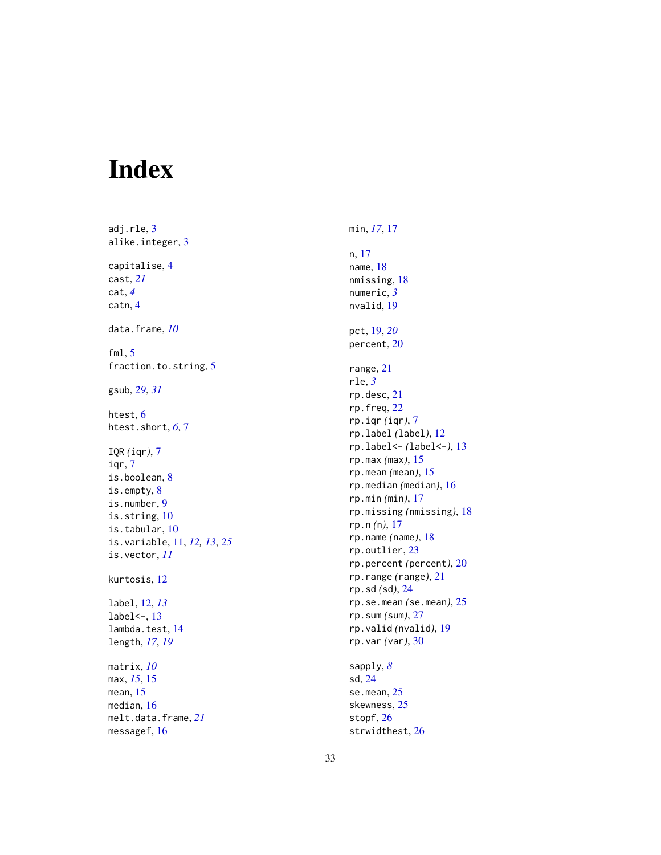# <span id="page-32-0"></span>Index

adj.rle , [3](#page-2-0) alike.integer , [3](#page-2-0) capitalise , [4](#page-3-0) cast , *[21](#page-20-0)* cat , *[4](#page-3-0)* catn , [4](#page-3-0) data.frame , *[10](#page-9-0)* fml , [5](#page-4-0) fraction.to.string, [5](#page-4-0) gsub , *[29](#page-28-0)* , *[31](#page-30-0)* htest, <mark>[6](#page-5-0)</mark> htest.short , *[6](#page-5-0)* , [7](#page-6-0) IQR *(*iqr *)* , [7](#page-6-0) iqr , [7](#page-6-0) is.boolean, [8](#page-7-0) is.empty , [8](#page-7-0) is.number , [9](#page-8-0) is.string, [10](#page-9-0) is.tabular , [10](#page-9-0) is.variable , [11](#page-10-0) , *[12](#page-11-0) , [13](#page-12-0)* , *[25](#page-24-0)* is.vector , *[11](#page-10-0)* kurtosis , [12](#page-11-0) label , [12](#page-11-0) , *[13](#page-12-0)* label<- , [13](#page-12-0) lambda.test , [14](#page-13-0) length , *[17](#page-16-0)* , *[19](#page-18-0)* matrix , *[10](#page-9-0)* max , *[15](#page-14-0)* , [15](#page-14-0) mean , [15](#page-14-0) median , [16](#page-15-0) melt.data.frame , *[21](#page-20-0)* messagef , [16](#page-15-0)

min , *[17](#page-16-0)* , [17](#page-16-0) n , [17](#page-16-0) name , [18](#page-17-0) nmissing , [18](#page-17-0) numeric , *[3](#page-2-0)* nvalid , [19](#page-18-0) pct , [19](#page-18-0) , *[20](#page-19-0)* percent , [20](#page-19-0) range , [21](#page-20-0) rle , *[3](#page-2-0)* rp.desc , [21](#page-20-0) rp.freq , [22](#page-21-0) rp.iqr *(*iqr *)* , [7](#page-6-0) rp.label *(*label *)* , [12](#page-11-0) rp.label<- *(*label<- *)* , [13](#page-12-0) rp.max *(*max *)* , [15](#page-14-0) rp.mean *(*mean *)* , [15](#page-14-0) rp.median *(*median *)* , [16](#page-15-0) rp.min *(*min *)* , [17](#page-16-0) rp.missing *(*nmissing *)* , [18](#page-17-0) rp.n *(* n *)* , [17](#page-16-0) rp.name *(*name *)* , [18](#page-17-0) rp.outlier , [23](#page-22-0) rp.percent *(*percent *)* , [20](#page-19-0) rp.range *(*range *)* , [21](#page-20-0) rp.sd *(*sd *)* , [24](#page-23-0) rp.se.mean *(*se.mean *)* , [25](#page-24-0) rp.sum *(*sum *)* , [27](#page-26-0) rp.valid *(*nvalid *)* , [19](#page-18-0) rp.var *(*var *)* , [30](#page-29-0)

sapply , *[8](#page-7-0)* sd , [24](#page-23-0) se.mean , [25](#page-24-0) skewness , [25](#page-24-0) stopf , [26](#page-25-0) strwidthest , [26](#page-25-0)